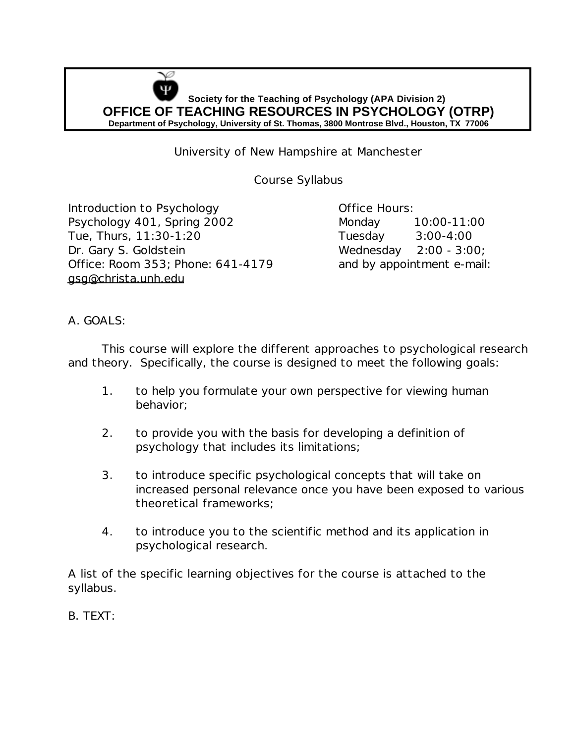

University of New Hampshire at Manchester

Course Syllabus

Introduction to Psychology **Example 20 Setup Control** Office Hours: Psychology 401, Spring 2002 Monday 10:00-11:00 Tue, Thurs, 11:30-1:20 Tuesday 3:00-4:00 Dr. Gary S. Goldstein Wednesday 2:00 - 3:00; Office: Room 353; Phone: 641-4179 and by appointment e-mail: gsg@christa.unh.edu

A. GOALS:

This course will explore the different approaches to psychological research and theory. Specifically, the course is designed to meet the following goals:

- 1. to help you formulate your own perspective for viewing human behavior;
- 2. to provide you with the basis for developing a definition of psychology that includes its limitations;
- 3. to introduce specific psychological concepts that will take on increased personal relevance once you have been exposed to various theoretical frameworks;
- 4. to introduce you to the scientific method and its application in psychological research.

A list of the specific learning objectives for the course is attached to the syllabus.

B. TEXT: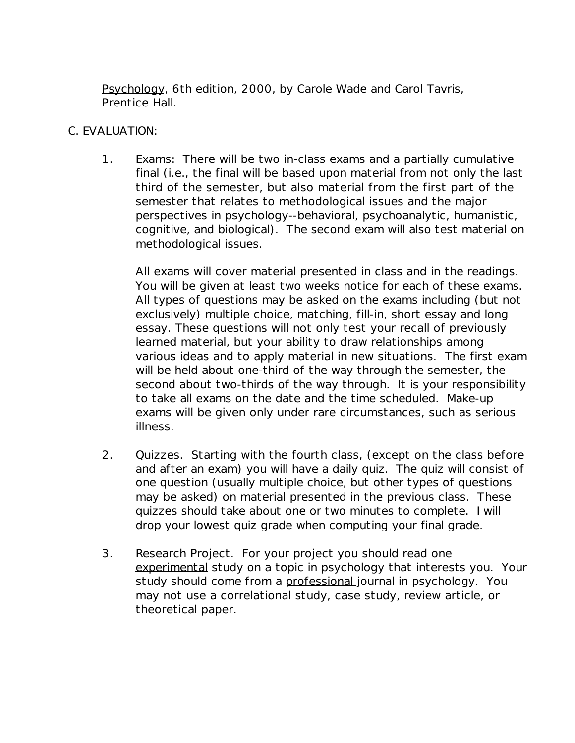Psychology, 6th edition, 2000, by Carole Wade and Carol Tavris, Prentice Hall.

## C. EVALUATION:

1. Exams: There will be two in-class exams and a partially cumulative final (i.e., the final will be based upon material from not only the last third of the semester, but also material from the first part of the semester that relates to methodological issues and the major perspectives in psychology--behavioral, psychoanalytic, humanistic, cognitive, and biological). The second exam will also test material on methodological issues.

All exams will cover material presented in class and in the readings. You will be given at least two weeks notice for each of these exams. All types of questions may be asked on the exams including (but not exclusively) multiple choice, matching, fill-in, short essay and long essay. These questions will not only test your recall of previously learned material, but your ability to draw relationships among various ideas and to apply material in new situations. The first exam will be held about one-third of the way through the semester, the second about two-thirds of the way through. It is your responsibility to take all exams on the date and the time scheduled. Make-up exams will be given only under rare circumstances, such as serious illness.

- 2. Quizzes. Starting with the fourth class, (except on the class before and after an exam) you will have a daily quiz. The quiz will consist of one question (usually multiple choice, but other types of questions may be asked) on material presented in the previous class. These quizzes should take about one or two minutes to complete. I will drop your lowest quiz grade when computing your final grade.
- 3. Research Project. For your project you should read one experimental study on a topic in psychology that interests you. Your study should come from a professional journal in psychology. You may not use a correlational study, case study, review article, or theoretical paper.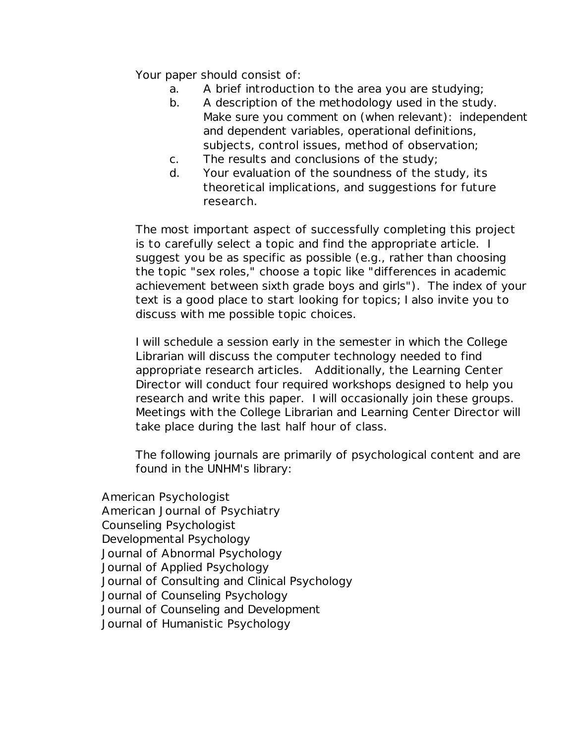Your paper should consist of:

- a. A brief introduction to the area you are studying;
- b. A description of the methodology used in the study. Make sure you comment on (when relevant): independent and dependent variables, operational definitions, subjects, control issues, method of observation;
- c. The results and conclusions of the study;
- d. Your evaluation of the soundness of the study, its theoretical implications, and suggestions for future research.

The most important aspect of successfully completing this project is to carefully select a topic and find the appropriate article. I suggest you be as specific as possible (e.g., rather than choosing the topic "sex roles," choose a topic like "differences in academic achievement between sixth grade boys and girls"). The index of your text is a good place to start looking for topics; I also invite you to discuss with me possible topic choices.

I will schedule a session early in the semester in which the College Librarian will discuss the computer technology needed to find appropriate research articles. Additionally, the Learning Center Director will conduct four required workshops designed to help you research and write this paper. I will occasionally join these groups. Meetings with the College Librarian and Learning Center Director will take place during the last half hour of class.

The following journals are primarily of psychological content and are found in the UNHM's library:

 American Psychologist American Journal of Psychiatry Counseling Psychologist Developmental Psychology Journal of Abnormal Psychology Journal of Applied Psychology Journal of Consulting and Clinical Psychology Journal of Counseling Psychology Journal of Counseling and Development Journal of Humanistic Psychology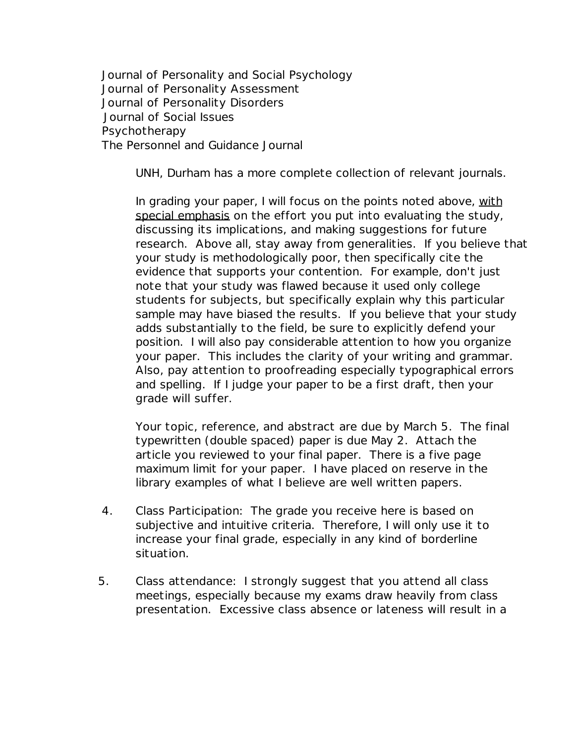Journal of Personality and Social Psychology Journal of Personality Assessment Journal of Personality Disorders Journal of Social Issues Psychotherapy The Personnel and Guidance Journal

UNH, Durham has a more complete collection of relevant journals.

In grading your paper, I will focus on the points noted above, with special emphasis on the effort you put into evaluating the study, discussing its implications, and making suggestions for future research. Above all, stay away from generalities. If you believe that your study is methodologically poor, then specifically cite the evidence that supports your contention. For example, don't just note that your study was flawed because it used only college students for subjects, but specifically explain why this particular sample may have biased the results. If you believe that your study adds substantially to the field, be sure to explicitly defend your position. I will also pay considerable attention to how you organize your paper. This includes the clarity of your writing and grammar. Also, pay attention to proofreading especially typographical errors and spelling. If I judge your paper to be a first draft, then your grade will suffer.

 Your topic, reference, and abstract are due by March 5. The final typewritten (double spaced) paper is due May 2. Attach the article you reviewed to your final paper. There is a five page maximum limit for your paper. I have placed on reserve in the library examples of what I believe are well written papers.

- 4. Class Participation: The grade you receive here is based on subjective and intuitive criteria. Therefore, I will only use it to increase your final grade, especially in any kind of borderline situation.
- 5. Class attendance: I strongly suggest that you attend all class meetings, especially because my exams draw heavily from class presentation. Excessive class absence or lateness will result in a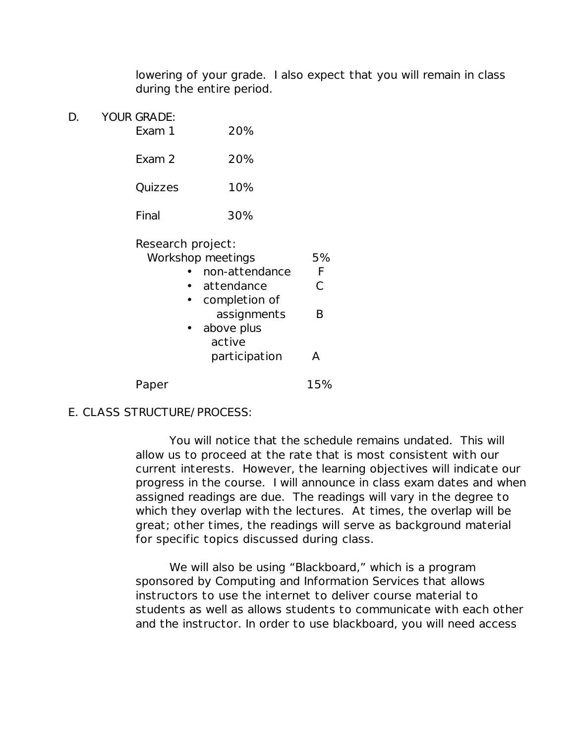lowering of your grade. I also expect that you will remain in class during the entire period.

D. YOUR GRADE: Exam 1 20% Exam 2 20% Quizzes 10% Final 30%

| Research project: |                |     |
|-------------------|----------------|-----|
| Workshop meetings | 5%             |     |
|                   | non-attendance | F   |
|                   | attendance     | C   |
|                   | completion of  |     |
|                   | assignments    | R   |
|                   | above plus     |     |
|                   | active         |     |
|                   | participation  |     |
|                   |                | 15% |
|                   |                |     |

## E. CLASS STRUCTURE/PROCESS:

You will notice that the schedule remains undated. This will allow us to proceed at the rate that is most consistent with our current interests. However, the learning objectives will indicate our progress in the course. I will announce in class exam dates and when assigned readings are due. The readings will vary in the degree to which they overlap with the lectures. At times, the overlap will be great; other times, the readings will serve as background material for specific topics discussed during class.

We will also be using "Blackboard," which is a program sponsored by Computing and Information Services that allows instructors to use the internet to deliver course material to students as well as allows students to communicate with each other and the instructor. In order to use blackboard, you will need access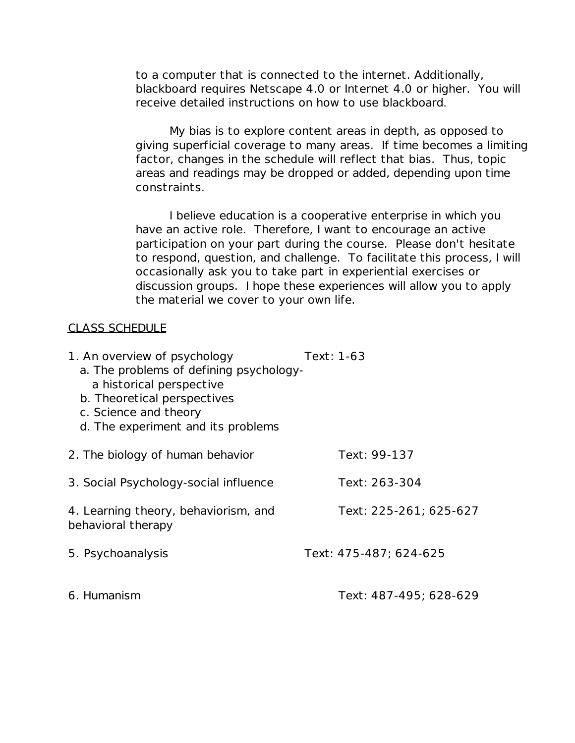to a computer that is connected to the internet. Additionally, blackboard requires Netscape 4.0 or Internet 4.0 or higher. You will receive detailed instructions on how to use blackboard.

My bias is to explore content areas in depth, as opposed to giving superficial coverage to many areas. If time becomes a limiting factor, changes in the schedule will reflect that bias. Thus, topic areas and readings may be dropped or added, depending upon time constraints.

I believe education is a cooperative enterprise in which you have an active role. Therefore, I want to encourage an active participation on your part during the course. Please don't hesitate to respond, question, and challenge. To facilitate this process, I will occasionally ask you to take part in experiential exercises or discussion groups. I hope these experiences will allow you to apply the material we cover to your own life.

## CLASS SCHEDULE

| 1. An overview of psychology<br>a. The problems of defining psychology-<br>a historical perspective<br>b. Theoretical perspectives<br>c. Science and theory<br>d. The experiment and its problems | Text: 1-63             |
|---------------------------------------------------------------------------------------------------------------------------------------------------------------------------------------------------|------------------------|
| 2. The biology of human behavior                                                                                                                                                                  | Text: 99-137           |
| 3. Social Psychology-social influence                                                                                                                                                             | Text: 263-304          |
| 4. Learning theory, behaviorism, and<br>behavioral therapy                                                                                                                                        | Text: 225-261; 625-627 |
| 5. Psychoanalysis                                                                                                                                                                                 | Text: 475-487; 624-625 |
| 6. Humanism                                                                                                                                                                                       | Text: 487-495; 628-629 |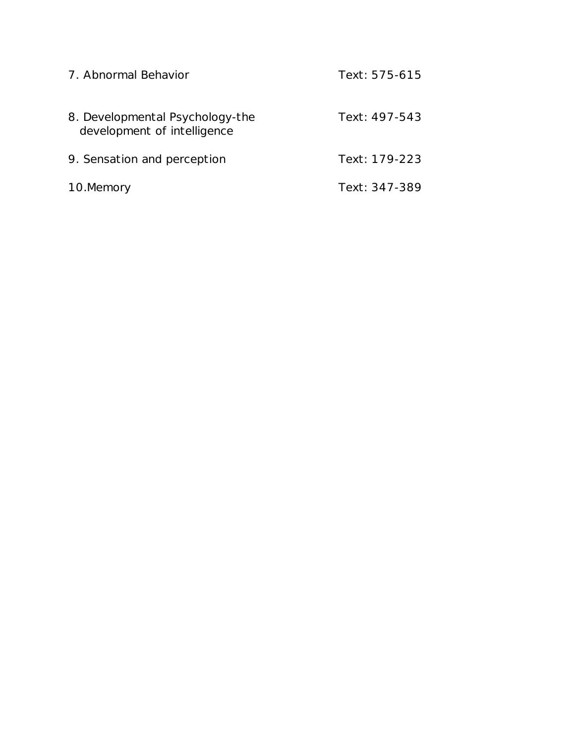| 7. Abnormal Behavior                                           | Text: 575-615 |
|----------------------------------------------------------------|---------------|
| 8. Developmental Psychology-the<br>development of intelligence | Text: 497-543 |
| 9. Sensation and perception                                    | Text: 179-223 |
| 10.Memory                                                      | Text: 347-389 |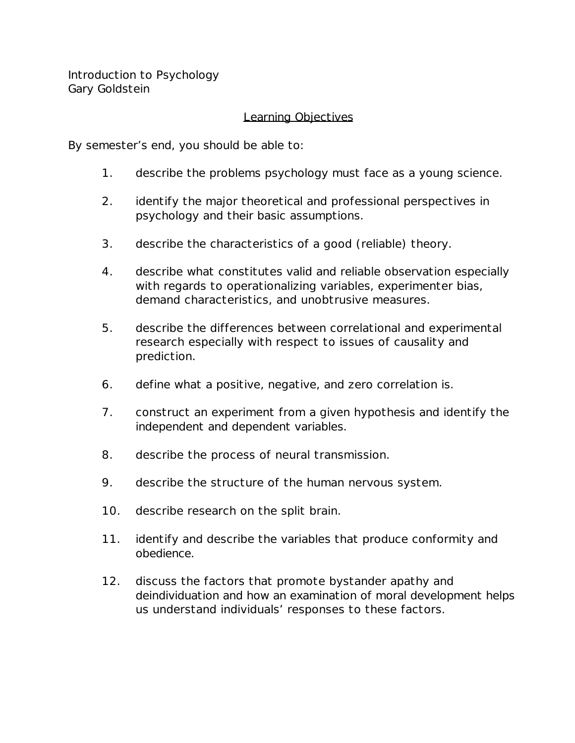Introduction to Psychology Gary Goldstein

## Learning Objectives

By semester's end, you should be able to:

- 1. describe the problems psychology must face as a young science.
- 2. identify the major theoretical and professional perspectives in psychology and their basic assumptions.
- 3. describe the characteristics of a good (reliable) theory.
- 4. describe what constitutes valid and reliable observation especially with regards to operationalizing variables, experimenter bias, demand characteristics, and unobtrusive measures.
- 5. describe the differences between correlational and experimental research especially with respect to issues of causality and prediction.
- 6. define what a positive, negative, and zero correlation is.
- 7. construct an experiment from a given hypothesis and identify the independent and dependent variables.
- 8. describe the process of neural transmission.
- 9. describe the structure of the human nervous system.
- 10. describe research on the split brain.
- 11. identify and describe the variables that produce conformity and obedience.
- 12. discuss the factors that promote bystander apathy and deindividuation and how an examination of moral development helps us understand individuals' responses to these factors.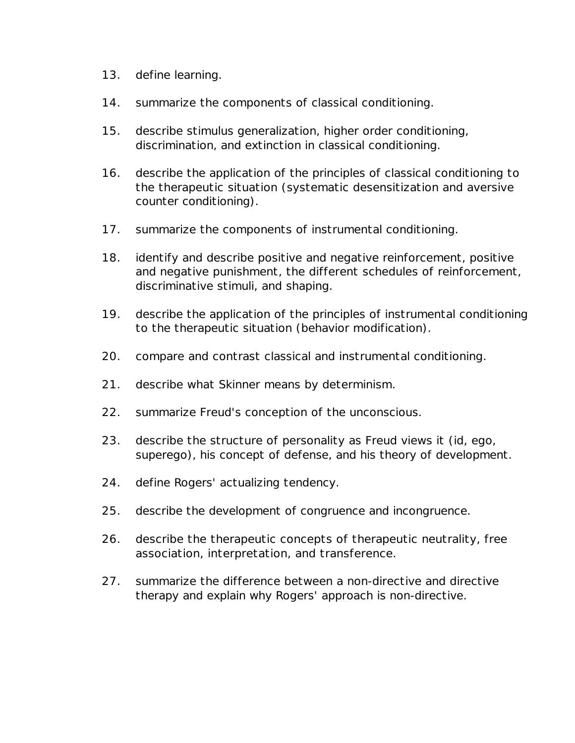- 13. define learning.
- 14. summarize the components of classical conditioning.
- 15. describe stimulus generalization, higher order conditioning, discrimination, and extinction in classical conditioning.
- 16. describe the application of the principles of classical conditioning to the therapeutic situation (systematic desensitization and aversive counter conditioning).
- 17. summarize the components of instrumental conditioning.
- 18. identify and describe positive and negative reinforcement, positive and negative punishment, the different schedules of reinforcement, discriminative stimuli, and shaping.
- 19. describe the application of the principles of instrumental conditioning to the therapeutic situation (behavior modification).
- 20. compare and contrast classical and instrumental conditioning.
- 21. describe what Skinner means by determinism.
- 22. summarize Freud's conception of the unconscious.
- 23. describe the structure of personality as Freud views it (id, ego, superego), his concept of defense, and his theory of development.
- 24. define Rogers' actualizing tendency.
- 25. describe the development of congruence and incongruence.
- 26. describe the therapeutic concepts of therapeutic neutrality, free association, interpretation, and transference.
- 27. summarize the difference between a non-directive and directive therapy and explain why Rogers' approach is non-directive.